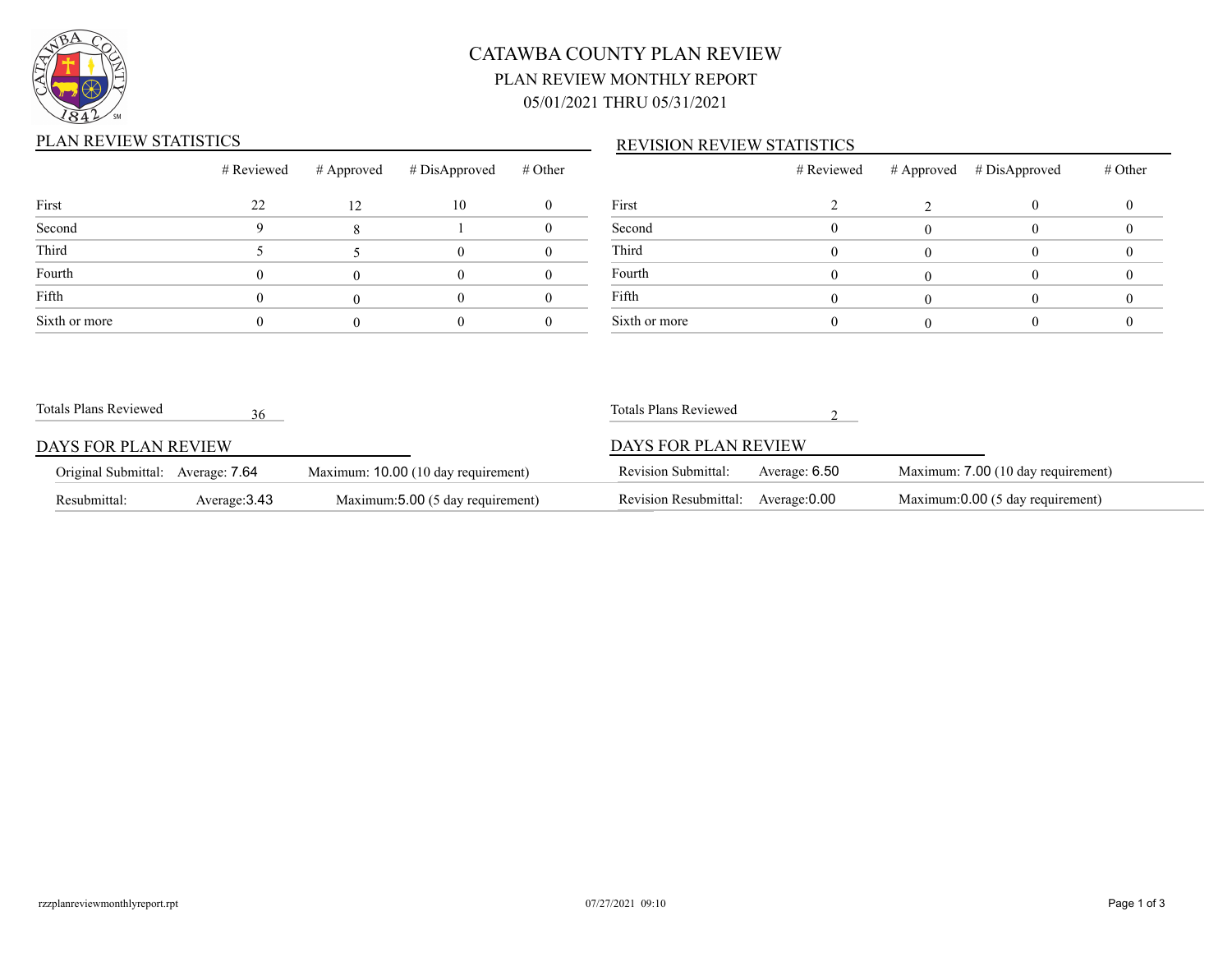

# CATAWBA COUNTY PLAN REVIEW PLAN REVIEW MONTHLY REPORT 05/01/2021 THRU 05/31/2021

### PLAN REVIEW STATISTICS

### REVISION REVIEW STATISTICS

|               | # Reviewed | # Approved | # DisApproved | # Other |       |
|---------------|------------|------------|---------------|---------|-------|
| First         | 22         | 12         | 10            |         | First |
| Second        |            |            |               |         | Seco  |
| Third         |            |            |               |         | Third |
| Fourth        |            |            |               |         | Four  |
| Fifth         |            |            |               |         | Fifth |
| Sixth or more |            |            |               |         | Sixth |

|               | # Reviewed | # Approved # DisApproved | # Other |
|---------------|------------|--------------------------|---------|
| First         |            |                          |         |
| Second        |            |                          |         |
| Third         |            |                          |         |
| Fourth        |            |                          |         |
| Fifth         |            |                          |         |
| Sixth or more |            |                          |         |

| Totals Plans Reviewed             | 36            |                                     | Totals Plans Reviewed      |               |                                    |
|-----------------------------------|---------------|-------------------------------------|----------------------------|---------------|------------------------------------|
| DAYS FOR PLAN REVIEW              |               |                                     | DAYS FOR PLAN REVIEW       |               |                                    |
| Original Submittal: Average: 7.64 |               | Maximum: 10.00 (10 day requirement) | <b>Revision Submittal:</b> | Average: 6.50 | Maximum: 7.00 (10 day requirement) |
| Resubmittal:                      | Average: 3.43 | Maximum: 5.00 (5 day requirement)   | Revision Resubmittal:      | Average: 0.00 | Maximum:0.00 (5 day requirement)   |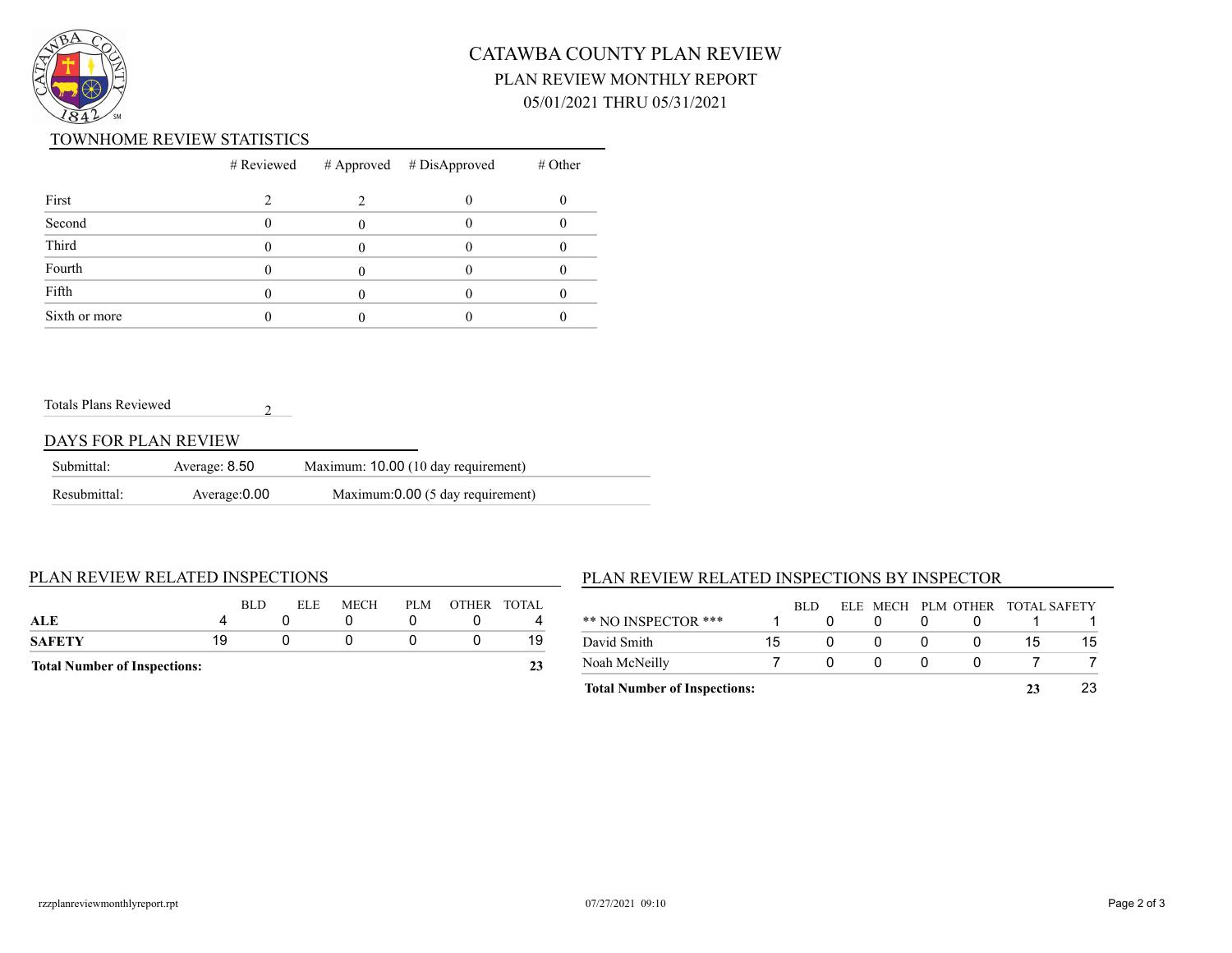

# CATAWBA COUNTY PLAN REVIEW PLAN REVIEW MONTHLY REPORT 05/01/2021 THRU 05/31/2021

#### TOWNHOME REVIEW STATISTICS

|               |  | $#$ Reviewed $#$ Approved $#$ DisApproved | $#$ Other |
|---------------|--|-------------------------------------------|-----------|
| First         |  |                                           |           |
| Second        |  |                                           |           |
| Third         |  |                                           |           |
| Fourth        |  |                                           |           |
| Fifth         |  |                                           |           |
| Sixth or more |  |                                           |           |

#### Totals Plans Reviewed

#### DAYS FOR PLAN REVIEW

| Submittal:   | Average: 8.50 | Maximum: 10.00 (10 day requirement) |  |
|--------------|---------------|-------------------------------------|--|
| Resubmittal: | Average: 0.00 | Maximum:0.00 (5 day requirement)    |  |

2

#### PLAN REVIEW RELATED INSPECTIONS

| <b>Total Number of Inspections:</b> |    |            |            |             |     |             |    |  |
|-------------------------------------|----|------------|------------|-------------|-----|-------------|----|--|
| <b>SAFETY</b>                       | 19 |            |            |             |     |             | 19 |  |
| ALE                                 |    |            |            |             |     |             |    |  |
|                                     |    | <b>BLD</b> | <b>ELE</b> | <b>MECH</b> | PLM | OTHER TOTAL |    |  |

### PLAN REVIEW RELATED INSPECTIONS BY INSPECTOR

| 15 |     |  | 15 | 15                              |
|----|-----|--|----|---------------------------------|
|    | BLD |  |    |                                 |
|    |     |  |    | ELE MECH PLM OTHER TOTAL SAFETY |